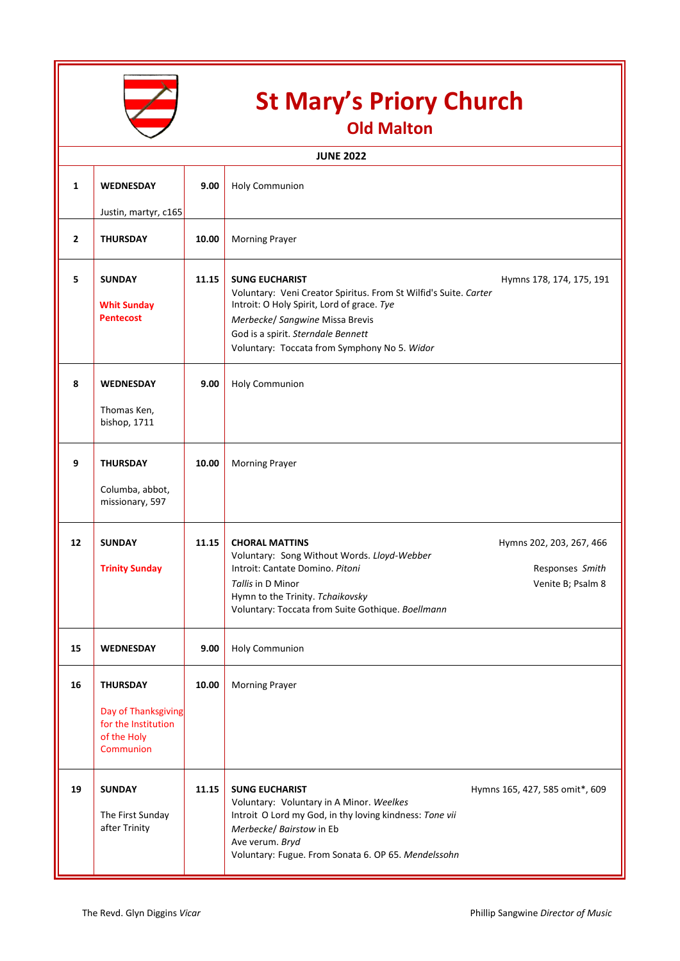

## **St Mary's Priory Church**

**Old Malton**

| <b>JUNE 2022</b> |                                                                                           |       |                                                                                                                                                                                                                                                                  |                                                                  |  |  |  |
|------------------|-------------------------------------------------------------------------------------------|-------|------------------------------------------------------------------------------------------------------------------------------------------------------------------------------------------------------------------------------------------------------------------|------------------------------------------------------------------|--|--|--|
| 1                | <b>WEDNESDAY</b><br>Justin, martyr, c165                                                  | 9.00  | <b>Holy Communion</b>                                                                                                                                                                                                                                            |                                                                  |  |  |  |
| $\overline{2}$   | <b>THURSDAY</b>                                                                           | 10.00 | <b>Morning Prayer</b>                                                                                                                                                                                                                                            |                                                                  |  |  |  |
| 5                | <b>SUNDAY</b><br><b>Whit Sunday</b><br><b>Pentecost</b>                                   | 11.15 | <b>SUNG EUCHARIST</b><br>Voluntary: Veni Creator Spiritus. From St Wilfid's Suite. Carter<br>Introit: O Holy Spirit, Lord of grace. Tye<br>Merbecke/ Sangwine Missa Brevis<br>God is a spirit. Sterndale Bennett<br>Voluntary: Toccata from Symphony No 5. Widor | Hymns 178, 174, 175, 191                                         |  |  |  |
| 8                | <b>WEDNESDAY</b><br>Thomas Ken,<br>bishop, 1711                                           | 9.00  | <b>Holy Communion</b>                                                                                                                                                                                                                                            |                                                                  |  |  |  |
| 9                | <b>THURSDAY</b><br>Columba, abbot,<br>missionary, 597                                     | 10.00 | <b>Morning Prayer</b>                                                                                                                                                                                                                                            |                                                                  |  |  |  |
| 12               | <b>SUNDAY</b><br><b>Trinity Sunday</b>                                                    | 11.15 | <b>CHORAL MATTINS</b><br>Voluntary: Song Without Words. Lloyd-Webber<br>Introit: Cantate Domino. Pitoni<br>Tallis in D Minor<br>Hymn to the Trinity. Tchaikovsky<br>Voluntary: Toccata from Suite Gothique. Boellmann                                            | Hymns 202, 203, 267, 466<br>Responses Smith<br>Venite B; Psalm 8 |  |  |  |
| 15               | <b>WEDNESDAY</b>                                                                          | 9.00  | <b>Holy Communion</b>                                                                                                                                                                                                                                            |                                                                  |  |  |  |
| 16               | <b>THURSDAY</b><br>Day of Thanksgiving<br>for the Institution<br>of the Holy<br>Communion | 10.00 | <b>Morning Prayer</b>                                                                                                                                                                                                                                            |                                                                  |  |  |  |
| 19               | <b>SUNDAY</b><br>The First Sunday<br>after Trinity                                        | 11.15 | <b>SUNG EUCHARIST</b><br>Voluntary: Voluntary in A Minor. Weelkes<br>Introit O Lord my God, in thy loving kindness: Tone vii<br>Merbecke/ Bairstow in Eb<br>Ave verum. Bryd<br>Voluntary: Fugue. From Sonata 6. OP 65. Mendelssohn                               | Hymns 165, 427, 585 omit*, 609                                   |  |  |  |